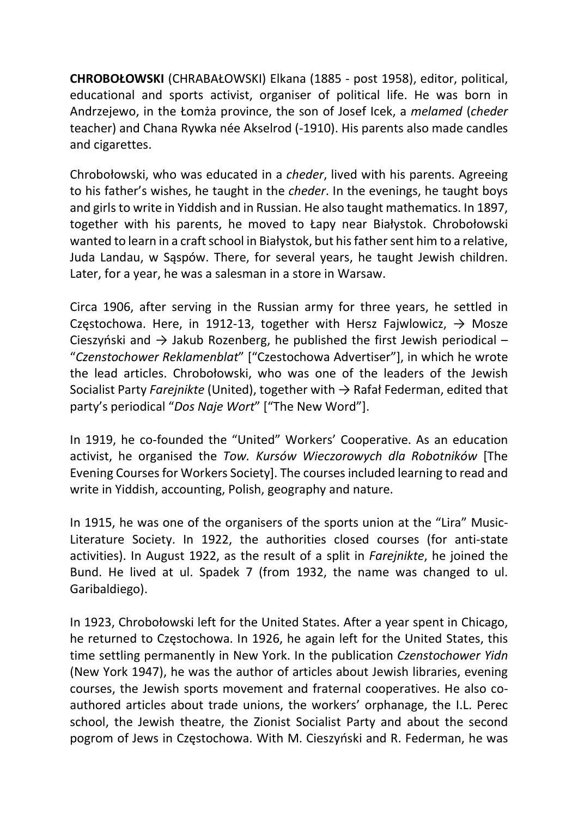CHROBOŁOWSKI (CHRABAŁOWSKI) Elkana (1885 - post 1958), editor, political, educational and sports activist, organiser of political life. He was born in Andrzejewo, in the Łomża province, the son of Josef Icek, a melamed (cheder teacher) and Chana Rywka née Akselrod (-1910). His parents also made candles and cigarettes.

Chrobołowski, who was educated in a cheder, lived with his parents. Agreeing to his father's wishes, he taught in the cheder. In the evenings, he taught boys and girls to write in Yiddish and in Russian. He also taught mathematics. In 1897, together with his parents, he moved to Łapy near Białystok. Chrobołowski wanted to learn in a craft school in Białystok, but his father sent him to a relative, Juda Landau, w Sąspów. There, for several years, he taught Jewish children. Later, for a year, he was a salesman in a store in Warsaw.

Circa 1906, after serving in the Russian army for three years, he settled in Częstochowa. Here, in 1912-13, together with Hersz Fajwlowicz,  $\rightarrow$  Mosze Cieszyński and  $\rightarrow$  Jakub Rozenberg, he published the first Jewish periodical – "Czenstochower Reklamenblat" ["Czestochowa Advertiser"], in which he wrote the lead articles. Chrobołowski, who was one of the leaders of the Jewish Socialist Party Farejnikte (United), together with  $\rightarrow$  Rafał Federman, edited that party's periodical "Dos Naje Wort" ["The New Word"].

In 1919, he co-founded the "United" Workers' Cooperative. As an education activist, he organised the Tow. Kursów Wieczorowych dla Robotników [The Evening Courses for Workers Society]. The courses included learning to read and write in Yiddish, accounting, Polish, geography and nature.

In 1915, he was one of the organisers of the sports union at the "Lira" Music-Literature Society. In 1922, the authorities closed courses (for anti-state activities). In August 1922, as the result of a split in Farejnikte, he joined the Bund. He lived at ul. Spadek 7 (from 1932, the name was changed to ul. Garibaldiego).

In 1923, Chrobołowski left for the United States. After a year spent in Chicago, he returned to Częstochowa. In 1926, he again left for the United States, this time settling permanently in New York. In the publication Czenstochower Yidn (New York 1947), he was the author of articles about Jewish libraries, evening courses, the Jewish sports movement and fraternal cooperatives. He also coauthored articles about trade unions, the workers' orphanage, the I.L. Perec school, the Jewish theatre, the Zionist Socialist Party and about the second pogrom of Jews in Częstochowa. With M. Cieszyński and R. Federman, he was